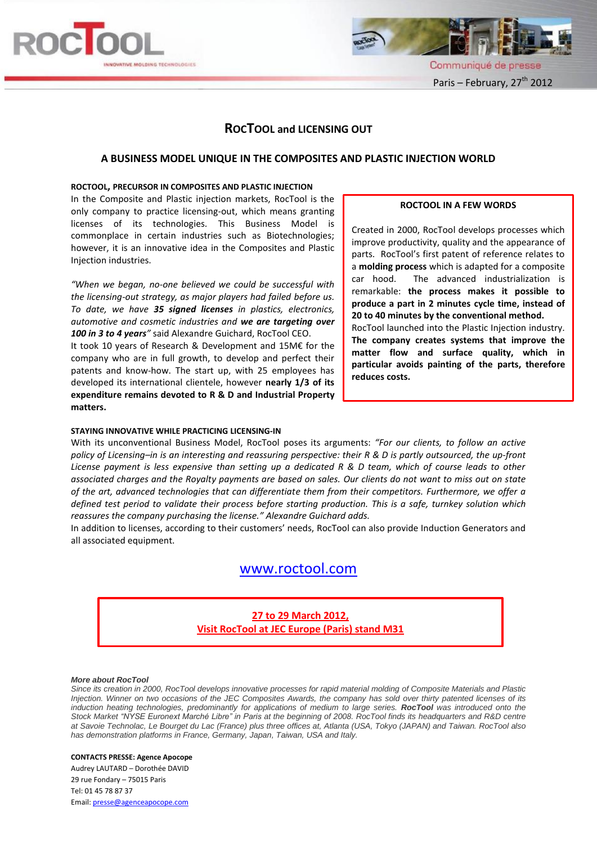



## Paris – February, 27<sup>th</sup> 2012

## **ROCTOOL and LICENSING OUT**

## **A BUSINESS MODEL UNIQUE IN THE COMPOSITES AND PLASTIC INJECTION WORLD**

#### **ROCTOOL, PRECURSOR IN COMPOSITES AND PLASTIC INJECTION**

In the Composite and Plastic injection markets, RocTool is the only company to practice licensing-out, which means granting licenses of its technologies. This Business Model is commonplace in certain industries such as Biotechnologies; however, it is an innovative idea in the Composites and Plastic Injection industries.

*"When we began, no-one believed we could be successful with the licensing-out strategy, as major players had failed before us. To date, we have 35 signed licenses in plastics, electronics, automotive and cosmetic industries and we are targeting over 100 in 3 to 4 years"* said Alexandre Guichard, RocTool CEO.

It took 10 years of Research & Development and 15M€ for the company who are in full growth, to develop and perfect their patents and know-how. The start up, with 25 employees has developed its international clientele, however **nearly 1/3 of its expenditure remains devoted to R & D and Industrial Property matters.**

### **ROCTOOL IN A FEW WORDS**

Created in 2000, RocTool develops processes which improve productivity, quality and the appearance of parts. RocTool's first patent of reference relates to a **molding process** which is adapted for a composite car hood. The advanced industrialization is remarkable: **the process makes it possible to produce a part in 2 minutes cycle time, instead of 20 to 40 minutes by the conventional method.**

RocTool launched into the Plastic Injection industry. **The company creates systems that improve the matter flow and surface quality, which in particular avoids painting of the parts, therefore reduces costs.**

## **STAYING INNOVATIVE WHILE PRACTICING LICENSING-IN**

With its unconventional Business Model, RocTool poses its arguments: *"For our clients, to follow an active policy of Licensing–in is an interesting and reassuring perspective: their R & D is partly outsourced, the up-front License payment is less expensive than setting up a dedicated R & D team, which of course leads to other associated charges and the Royalty payments are based on sales. Our clients do not want to miss out on state of the art, advanced technologies that can differentiate them from their competitors. Furthermore, we offer a defined test period to validate their process before starting production. This is a safe, turnkey solution which reassures the company purchasing the license." Alexandre Guichard adds.*

In addition to licenses, according to their customers' needs, RocTool can also provide Induction Generators and all associated equipment.

## [www.roctool.com](http://www.roctool.com/)

## **27 to 29 March 2012, Visit RocTool at JEC Europe (Paris) stand M31**

#### *More about RocTool*

*Since its creation in 2000, RocTool develops innovative processes for rapid material molding of Composite Materials and Plastic Injection. Winner on two occasions of the JEC Composites Awards, the company has sold over thirty patented licenses of its induction heating technologies, predominantly for applications of medium to large series. RocTool was introduced onto the Stock Market "NYSE Euronext Marché Libre" in Paris at the beginning of 2008. RocTool finds its headquarters and R&D centre at Savoie Technolac, Le Bourget du Lac (France) plus three offices at, Atlanta (USA, Tokyo (JAPAN) and Taiwan. RocTool also has demonstration platforms in France, Germany, Japan, Taiwan, USA and Italy.*

**CONTACTS PRESSE: Agence Apocope**  Audrey LAUTARD – Dorothée DAVID 29 rue Fondary – 75015 Paris Tel: 01 45 78 87 37 Email: presse@agenceapocope.com